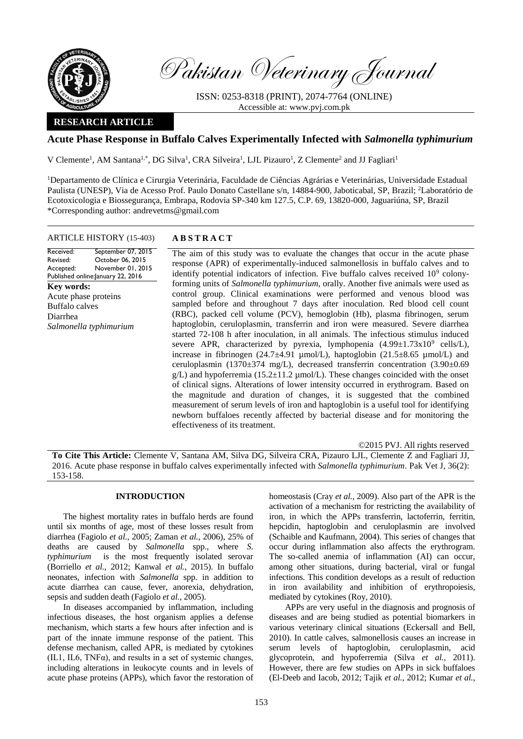

Pakistan Veterinary Journal

ISSN: 0253-8318 (PRINT), 2074-7764 (ONLINE) Accessible at: [www.pvj.com.pk](http://www.pvj.com.pk/)

# **RESEARCH ARTICLE**

# **Acute Phase Response in Buffalo Calves Experimentally Infected with** *Salmonella typhimurium*

V Clemente<sup>1</sup>, AM Santana<sup>1,\*</sup>, DG Silva<sup>1</sup>, CRA Silveira<sup>1</sup>, LJL Pizauro<sup>1</sup>, Z Clemente<sup>2</sup> and JJ Fagliari<sup>1</sup>

<sup>1</sup>Departamento de Clínica e Cirurgia Veterinária, Faculdade de Ciências Agrárias e Veterinárias, Universidade Estadual Paulista (UNESP), Via de Acesso Prof. Paulo Donato Castellane s/n, 14884-900, Jaboticabal, SP, Brazil; <sup>2</sup>Laboratório de Ecotoxicologia e Biossegurança, Embrapa, Rodovia SP-340 km 127.5, C.P. 69, 13820-000, Jaguariúna, SP, Brazil \*Corresponding author: andrevetms@gmail.com

## ARTICLE HISTORY (15-403) **A B S T R A C T**

Received: Revised: Accepted: Published online: January 22, 2016 September 07, 2015 October 06, 2015 November 01, 2015

**Key words:**  Acute phase proteins Buffalo calves Diarrhea *Salmonella typhimurium* 

The aim of this study was to evaluate the changes that occur in the acute phase response (APR) of experimentally-induced salmonellosis in buffalo calves and to identify potential indicators of infection. Five buffalo calves received  $10^9$  colonyforming units of *Salmonella typhimurium*, orally. Another five animals were used as control group. Clinical examinations were performed and venous blood was sampled before and throughout 7 days after inoculation. Red blood cell count (RBC), packed cell volume (PCV), hemoglobin (Hb), plasma fibrinogen, serum haptoglobin, ceruloplasmin, transferrin and iron were measured. Severe diarrhea started 72-108 h after inoculation, in all animals. The infectious stimulus induced severe APR, characterized by pyrexia, lymphopenia  $(4.99 \pm 1.73 \times 10^{9}$  cells/L), increase in fibrinogen  $(24.7\pm4.91 \text{ µmol/L})$ , haptoglobin  $(21.5\pm8.65 \text{ µmol/L})$  and ceruloplasmin (1370 $\pm$ 374 mg/L), decreased transferrin concentration (3.90 $\pm$ 0.69  $g/L$ ) and hypoferremia (15.2 $\pm$ 11.2 µmol/L). These changes coincided with the onset of clinical signs. Alterations of lower intensity occurred in erythrogram. Based on the magnitude and duration of changes, it is suggested that the combined measurement of serum levels of iron and haptoglobin is a useful tool for identifying newborn buffaloes recently affected by bacterial disease and for monitoring the effectiveness of its treatment.

©2015 PVJ. All rights reserved

**To Cite This Article:** Clemente V, Santana AM, Silva DG, Silveira CRA, Pizauro LJL, Clemente Z and Fagliari JJ, 2016. Acute phase response in buffalo calves experimentally infected with *Salmonella typhimurium*. Pak Vet J, 36(2): 153-158.

## **INTRODUCTION**

The highest mortality rates in buffalo herds are found until six months of age, most of these losses result from diarrhea (Fagiolo *et al.*, 2005; Zaman *et al.*, 2006), 25% of deaths are caused by *Salmonella* spp., where *S*. *typhimurium* is the most frequently isolated serovar (Borriello *et al.*, 2012; Kanwal *et al.*, 2015). In buffalo neonates, infection with *Salmonella* spp. in addition to acute diarrhea can cause, fever, anorexia, dehydration, sepsis and sudden death (Fagiolo *et al.*, 2005).

In diseases accompanied by inflammation, including infectious diseases, the host organism applies a defense mechanism, which starts a few hours after infection and is part of the innate immune response of the patient. This defense mechanism, called APR, is mediated by cytokines (IL1, IL6, TNFα), and results in a set of systemic changes, including alterations in leukocyte counts and in levels of acute phase proteins (APPs), which favor the restoration of homeostasis (Cray *et al.*, 2009). Also part of the APR is the activation of a mechanism for restricting the availability of iron, in which the APPs transferrin, lactoferrin, ferritin, hepcidin, haptoglobin and ceruloplasmin are involved (Schaible and Kaufmann, 2004). This series of changes that occur during inflammation also affects the erythrogram. The so-called anemia of inflammation (AI) can occur, among other situations, during bacterial, viral or fungal infections. This condition develops as a result of reduction in iron availability and inhibition of erythropoiesis, mediated by cytokines (Roy, 2010).

APPs are very useful in the diagnosis and prognosis of diseases and are being studied as potential biomarkers in various veterinary clinical situations (Eckersall and Bell, 2010). In cattle calves, salmonellosis causes an increase in serum levels of haptoglobin, ceruloplasmin, acid glycoprotein, and hypoferremia (Silva *et al.*, 2011). However, there are few studies on APPs in sick buffaloes (El-Deeb and Iacob, 2012; Tajik *et al.*, 2012; Kumar *et al.*,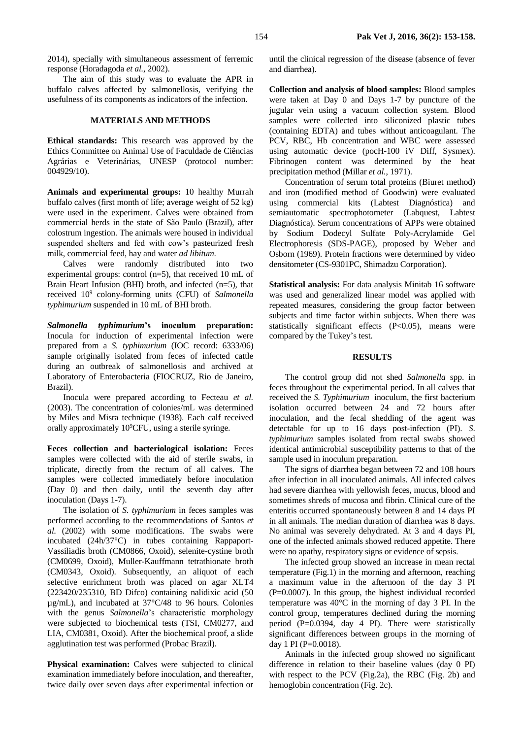2014), specially with simultaneous assessment of ferremic response (Horadagoda *et al.*, 2002).

The aim of this study was to evaluate the APR in buffalo calves affected by salmonellosis, verifying the usefulness of its components as indicators of the infection.

## **MATERIALS AND METHODS**

**Ethical standards:** This research was approved by the Ethics Committee on Animal Use of Faculdade de Ciências Agrárias e Veterinárias, UNESP (protocol number: 004929/10).

**Animals and experimental groups:** 10 healthy Murrah buffalo calves (first month of life; average weight of 52 kg) were used in the experiment. Calves were obtained from commercial herds in the state of São Paulo (Brazil), after colostrum ingestion. The animals were housed in individual suspended shelters and fed with cow's pasteurized fresh milk, commercial feed, hay and water *ad libitum*.

Calves were randomly distributed into two experimental groups: control (n=5), that received 10 mL of Brain Heart Infusion (BHI) broth, and infected (n=5), that received 10<sup>9</sup> colony-forming units (CFU) of *Salmonella typhimurium* suspended in 10 mL of BHI broth.

*Salmonella typhimurium***'s inoculum preparation:**  Inocula for induction of experimental infection were prepared from a *S. typhimurium* (IOC record: 6333/06) sample originally isolated from feces of infected cattle during an outbreak of salmonellosis and archived at Laboratory of Enterobacteria (FIOCRUZ, Rio de Janeiro, Brazil).

Inocula were prepared according to Fecteau *et al.* (2003). The concentration of colonies/mL was determined by Miles and Misra technique (1938). Each calf received orally approximately 10<sup>9</sup>CFU, using a sterile syringe.

**Feces collection and bacteriological isolation:** Feces samples were collected with the aid of sterile swabs, in triplicate, directly from the rectum of all calves. The samples were collected immediately before inoculation (Day 0) and then daily, until the seventh day after inoculation (Days 1-7).

The isolation of *S. typhimurium* in feces samples was performed according to the recommendations of Santos *et al.* (2002) with some modifications. The swabs were incubated (24h/37°C) in tubes containing Rappaport-Vassiliadis broth (CM0866, Oxoid), selenite-cystine broth (CM0699, Oxoid), Muller-Kauffmann tetrathionate broth (CM0343, Oxoid). Subsequently, an aliquot of each selective enrichment broth was placed on agar XLT4 (223420/235310, BD Difco) containing nalidixic acid (50 µg/mL), and incubated at 37°C/48 to 96 hours. Colonies with the genus *Salmonella*'s characteristic morphology were subjected to biochemical tests (TSI, CM0277, and LIA, CM0381, Oxoid). After the biochemical proof, a slide agglutination test was performed (Probac Brazil).

Physical examination: Calves were subjected to clinical examination immediately before inoculation, and thereafter, twice daily over seven days after experimental infection or until the clinical regression of the disease (absence of fever and diarrhea).

**Collection and analysis of blood samples:** Blood samples were taken at Day 0 and Days 1-7 by puncture of the jugular vein using a vacuum collection system. Blood samples were collected into siliconized plastic tubes (containing EDTA) and tubes without anticoagulant. The PCV, RBC, Hb concentration and WBC were assessed using automatic device (pocH-100 iV Diff, Sysmex). Fibrinogen content was determined by the heat precipitation method (Millar *et al.*, 1971).

Concentration of serum total proteins (Biuret method) and iron (modified method of Goodwin) were evaluated using commercial kits (Labtest Diagnóstica) and semiautomatic spectrophotometer (Labquest, Labtest Diagnóstica). Serum concentrations of APPs were obtained by Sodium Dodecyl Sulfate Poly-Acrylamide Gel Electrophoresis (SDS-PAGE), proposed by Weber and Osborn (1969). Protein fractions were determined by video densitometer (CS-9301PC, Shimadzu Corporation).

**Statistical analysis:** For data analysis Minitab 16 software was used and generalized linear model was applied with repeated measures, considering the group factor between subjects and time factor within subjects. When there was statistically significant effects  $(P<0.05)$ , means were compared by the Tukey's test.

### **RESULTS**

The control group did not shed *Salmonella* spp. in feces throughout the experimental period. In all calves that received the *S. Typhimurium* inoculum, the first bacterium isolation occurred between 24 and 72 hours after inoculation, and the fecal shedding of the agent was detectable for up to 16 days post-infection (PI). *S*. *typhimurium* samples isolated from rectal swabs showed identical antimicrobial susceptibility patterns to that of the sample used in inoculum preparation.

The signs of diarrhea began between 72 and 108 hours after infection in all inoculated animals. All infected calves had severe diarrhea with yellowish feces, mucus, blood and sometimes shreds of mucosa and fibrin. Clinical cure of the enteritis occurred spontaneously between 8 and 14 days PI in all animals. The median duration of diarrhea was 8 days. No animal was severely dehydrated. At 3 and 4 days PI, one of the infected animals showed reduced appetite. There were no apathy, respiratory signs or evidence of sepsis.

The infected group showed an increase in mean rectal temperature (Fig.1) in the morning and afternoon, reaching a maximum value in the afternoon of the day 3 PI (P=0.0007). In this group, the highest individual recorded temperature was 40°C in the morning of day 3 PI. In the control group, temperatures declined during the morning period (P=0.0394, day 4 PI). There were statistically significant differences between groups in the morning of day 1 PI (P=0.0018).

Animals in the infected group showed no significant difference in relation to their baseline values (day 0 PI) with respect to the PCV (Fig.2a), the RBC (Fig. 2b) and hemoglobin concentration (Fig. 2c).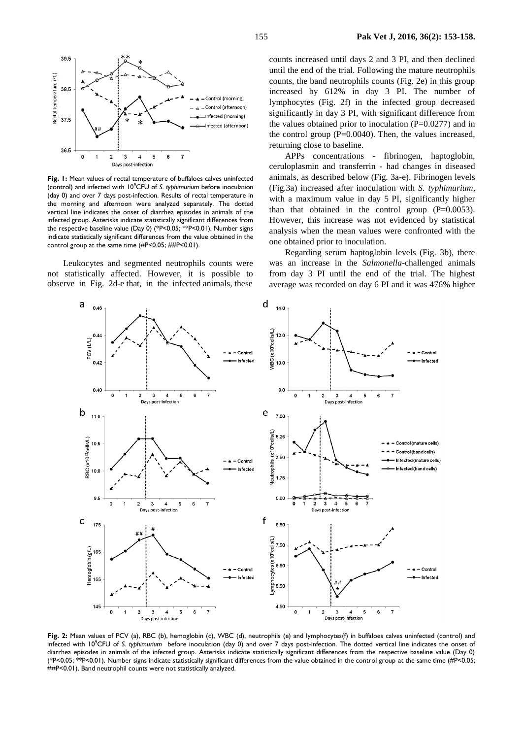

**Fig. 1:** Mean values of rectal temperature of buffaloes calves uninfected (control) and infected with 10<sup>9</sup>CFU of *S. typhimurium* before inoculation (day 0) and over 7 days post-infection. Results of rectal temperature in the morning and afternoon were analyzed separately. The dotted vertical line indicates the onset of diarrhea episodes in animals of the infected group. Asterisks indicate statistically significant differences from the respective baseline value (Day 0) (\*P<0.05; \*\*P<0.01). Number signs indicate statistically significant differences from the value obtained in the control group at the same time (#P<0.05; ##P<0.01).

Leukocytes and segmented neutrophils counts were not statistically affected. However, it is possible to observe in Fig. 2d-e that, in the infected animals, these

counts increased until days 2 and 3 PI, and then declined until the end of the trial. Following the mature neutrophils counts, the band neutrophils counts (Fig. 2e) in this group increased by 612% in day 3 PI. The number of lymphocytes (Fig. 2f) in the infected group decreased significantly in day 3 PI, with significant difference from the values obtained prior to inoculation  $(P=0.0277)$  and in the control group (P=0.0040). Then, the values increased, returning close to baseline.

APPs concentrations - fibrinogen, haptoglobin, ceruloplasmin and transferrin - had changes in diseased animals, as described below (Fig. 3a-e). Fibrinogen levels (Fig.3a) increased after inoculation with *S. typhimurium*, with a maximum value in day 5 PI, significantly higher than that obtained in the control group  $(P=0.0053)$ . However, this increase was not evidenced by statistical analysis when the mean values were confronted with the one obtained prior to inoculation.

Regarding serum haptoglobin levels (Fig. 3b), there was an increase in the *Salmonella*-challenged animals from day 3 PI until the end of the trial. The highest average was recorded on day 6 PI and it was 476% higher



**Fig. 2:** Mean values of PCV (a), RBC (b), hemoglobin (c), WBC (d), neutrophils (e) and lymphocytes(f) in buffaloes calves uninfected (control) and infected with 10<sup>9</sup>CFU of *S. typhimurium* before inoculation (day 0) and over 7 days post-infection. The dotted vertical line indicates the onset of diarrhea episodes in animals of the infected group. Asterisks indicate statistically significant differences from the respective baseline value (Day 0) (\*P<0.05; \*\*P<0.01). Number signs indicate statistically significant differences from the value obtained in the control group at the same time (#P<0.05; ##P<0.01). Band neutrophil counts were not statistically analyzed.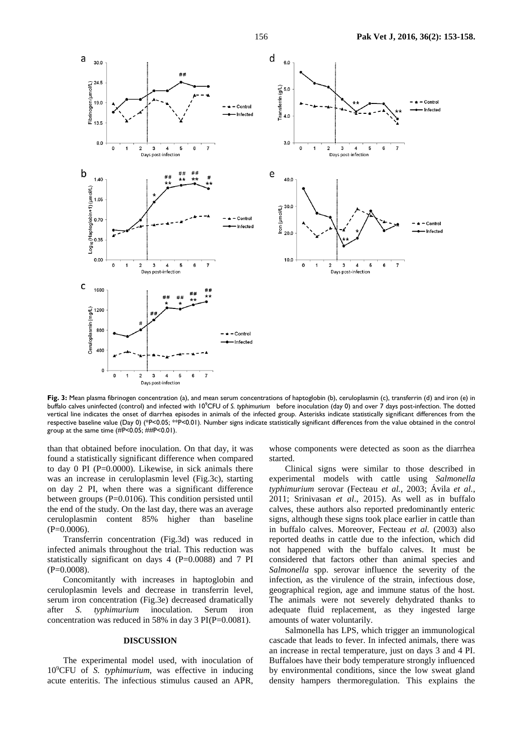

**Fig. 3:** Mean plasma fibrinogen concentration (a), and mean serum concentrations of haptoglobin (b), ceruloplasmin (c), transferrin (d) and iron (e) in buffalo calves uninfected (control) and infected with 10°CFU of *S. typhimurium* before inoculation (day 0) and over 7 days post-infection. The dotted vertical line indicates the onset of diarrhea episodes in animals of the infected group. Asterisks indicate statistically significant differences from the respective baseline value (Day 0) (\*P<0.05; \*\*P<0.01). Number signs indicate statistically significant differences from the value obtained in the control group at the same time (#P<0.05; ##P<0.01).

than that obtained before inoculation. On that day, it was found a statistically significant difference when compared to day 0 PI (P=0.0000). Likewise, in sick animals there was an increase in ceruloplasmin level (Fig.3c), starting on day 2 PI, when there was a significant difference between groups (P=0.0106). This condition persisted until the end of the study. On the last day, there was an average ceruloplasmin content 85% higher than baseline  $(P=0.0006)$ .

Transferrin concentration (Fig.3d) was reduced in infected animals throughout the trial. This reduction was statistically significant on days 4 (P=0.0088) and 7 PI  $(P=0.0008)$ .

Concomitantly with increases in haptoglobin and ceruloplasmin levels and decrease in transferrin level, serum iron concentration (Fig.3e) decreased dramatically after *S. typhimurium* inoculation. Serum iron concentration was reduced in 58% in day 3 PI(P=0.0081).

## **DISCUSSION**

The experimental model used, with inoculation of 10<sup>9</sup>CFU of *S. typhimurium*, was effective in inducing acute enteritis. The infectious stimulus caused an APR,

whose components were detected as soon as the diarrhea started.

Clinical signs were similar to those described in experimental models with cattle using *Salmonella typhimurium* serovar (Fecteau *et al.*, 2003; Ávila *et al.*, 2011; Srinivasan *et al*., 2015). As well as in buffalo calves, these authors also reported predominantly enteric signs, although these signs took place earlier in cattle than in buffalo calves. Moreover, Fecteau *et al.* (2003) also reported deaths in cattle due to the infection, which did not happened with the buffalo calves. It must be considered that factors other than animal species and *Salmonella* spp. serovar influence the severity of the infection, as the virulence of the strain, infectious dose, geographical region, age and immune status of the host. The animals were not severely dehydrated thanks to adequate fluid replacement, as they ingested large amounts of water voluntarily.

Salmonella has LPS, which trigger an immunological cascade that leads to fever. In infected animals, there was an increase in rectal temperature, just on days 3 and 4 PI. Buffaloes have their body temperature strongly influenced by environmental conditions, since the low sweat gland density hampers thermoregulation. This explains the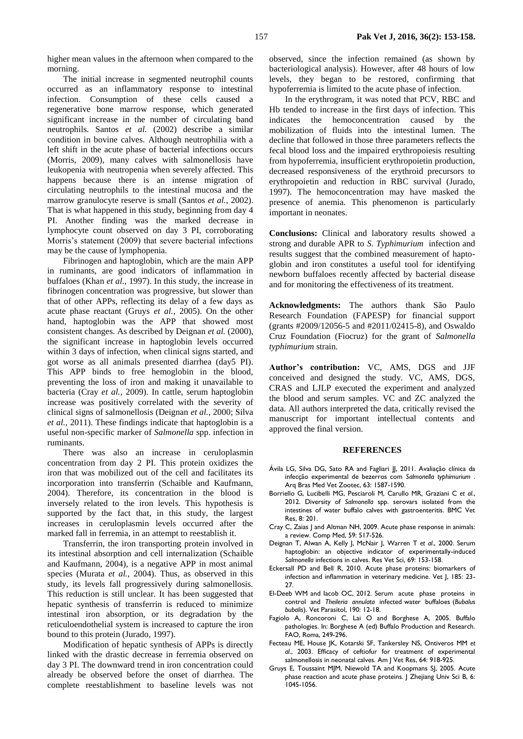higher mean values in the afternoon when compared to the morning.

The initial increase in segmented neutrophil counts occurred as an inflammatory response to intestinal infection. Consumption of these cells caused a regenerative bone marrow response, which generated significant increase in the number of circulating band neutrophils. Santos *et al.* (2002) describe a similar condition in bovine calves. Although neutrophilia with a left shift in the acute phase of bacterial infections occurs (Morris, 2009), many calves with salmonellosis have leukopenia with neutropenia when severely affected. This happens because there is an intense migration of circulating neutrophils to the intestinal mucosa and the marrow granulocyte reserve is small (Santos *et al.*, 2002). That is what happened in this study, beginning from day 4 PI. Another finding was the marked decrease in lymphocyte count observed on day 3 PI, corroborating Morris's statement (2009) that severe bacterial infections may be the cause of lymphopenia.

Fibrinogen and haptoglobin, which are the main APP in ruminants, are good indicators of inflammation in buffaloes (Khan *et al.*, 1997). In this study, the increase in fibrinogen concentration was progressive, but slower than that of other APPs, reflecting its delay of a few days as acute phase reactant (Gruys *et al.*, 2005). On the other hand, haptoglobin was the APP that showed most consistent changes. As described by Deignan *et al.* (2000), the significant increase in haptoglobin levels occurred within 3 days of infection, when clinical signs started, and got worse as all animals presented diarrhea (day5 PI). This APP binds to free hemoglobin in the blood, preventing the loss of iron and making it unavailable to bacteria (Cray *et al.*, 2009). In cattle, serum haptoglobin increase was positively correlated with the severity of clinical signs of salmonellosis (Deignan *et al.*, 2000; Silva *et al.*, 2011). These findings indicate that haptoglobin is a useful non-specific marker of *Salmonella* spp. infection in ruminants.

There was also an increase in ceruloplasmin concentration from day 2 PI. This protein oxidizes the iron that was mobilized out of the cell and facilitates its incorporation into transferrin (Schaible and Kaufmann, 2004). Therefore, its concentration in the blood is inversely related to the iron levels. This hypothesis is supported by the fact that, in this study, the largest increases in ceruloplasmin levels occurred after the marked fall in ferremia, in an attempt to reestablish it.

Transferrin, the iron transporting protein involved in its intestinal absorption and cell internalization (Schaible and Kaufmann, 2004), is a negative APP in most animal species (Murata *et al.*, 2004). Thus, as observed in this study, its levels fall progressively during salmonellosis. This reduction is still unclear. It has been suggested that hepatic synthesis of transferrin is reduced to minimize intestinal iron absorption, or its degradation by the reticuloendothelial system is increased to capture the iron bound to this protein (Jurado, 1997).

Modification of hepatic synthesis of APPs is directly linked with the drastic decrease in ferremia observed on day 3 PI. The downward trend in iron concentration could already be observed before the onset of diarrhea. The complete reestablishment to baseline levels was not

observed, since the infection remained (as shown by bacteriological analysis). However, after 48 hours of low levels, they began to be restored, confirming that hypoferremia is limited to the acute phase of infection.

In the erythrogram, it was noted that PCV, RBC and Hb tended to increase in the first days of infection. This indicates the hemoconcentration caused by the mobilization of fluids into the intestinal lumen. The decline that followed in those three parameters reflects the fecal blood loss and the impaired erythropoiesis resulting from hypoferremia, insufficient erythropoietin production, decreased responsiveness of the erythroid precursors to erythropoietin and reduction in RBC survival (Jurado, 1997). The hemoconcentration may have masked the presence of anemia. This phenomenon is particularly important in neonates.

**Conclusions:** Clinical and laboratory results showed a strong and durable APR to *S. Typhimurium* infection and results suggest that the combined measurement of haptoglobin and iron constitutes a useful tool for identifying newborn buffaloes recently affected by bacterial disease and for monitoring the effectiveness of its treatment.

**Acknowledgments:** The authors thank São Paulo Research Foundation (FAPESP) for financial support (grants #2009/12056-5 and #2011/02415-8), and Oswaldo Cruz Foundation (Fiocruz) for the grant of *Salmonella typhimurium* strain.

**Author's contribution:** VC, AMS, DGS and JJF conceived and designed the study. VC, AMS, DGS, CRAS and LJLP executed the experiment and analyzed the blood and serum samples. VC and ZC analyzed the data. All authors interpreted the data, critically revised the manuscript for important intellectual contents and approved the final version.

#### **REFERENCES**

- Ávila LG, Silva DG, Sato RA and Fagliari JJ, 2011. Avaliação clínica da infecção experimental de bezerros com *Salmonella typhimurium* . Arq Bras Med Vet Zootec, 63: 1587-1590.
- Borriello G, Lucibelli MG, Pesciaroli M, Carullo MR, Graziani C *et al*., 2012. Diversity of *Salmonella* spp. serovars isolated from the intestines of water buffalo calves with gastroenteritis. BMC Vet Res, 8: 201.
- Cray C, Zaias J and Altman NH, 2009. Acute phase response in animals: a review. Comp Med, 59: 517-526.
- Deignan T, Alwan A, Kelly J, McNair J, Warren T *et al*., 2000. Serum haptoglobin: an objective indicator of experimentally-induced *Salmonella* infections in calves. Res Vet Sci, 69: 153-158.
- Eckersall PD and Bell R, 2010. Acute phase proteins: biomarkers of infection and inflammation in veterinary medicine. Vet J, 185: 23- 27.
- El-Deeb WM and Iacob OC, 2012. Serum acute phase proteins in control and *Theileria annulata* infected water buffaloes (*Bubalus bubalis*). Vet Parasitol, 190: 12-18.
- Fagiolo A, Roncoroni C, Lai O and Borghese A, 2005. Buffalo pathologies. In: Borghese A (ed) Buffalo Production and Research. FAO, Roma, 249-296.
- Fecteau ME, House JK, Kotarski SF, Tankersley NS, Ontiveros MM *et al*., 2003. Efficacy of ceftiofur for treatment of experimental salmonellosis in neonatal calves. Am J Vet Res, 64: 918-925.
- Gruys E, Toussaint MJM, Niewold TA and Koopmans SJ, 2005. Acute phase reaction and acute phase proteins. J Zhejiang Univ Sci B, 6: 1045-1056.